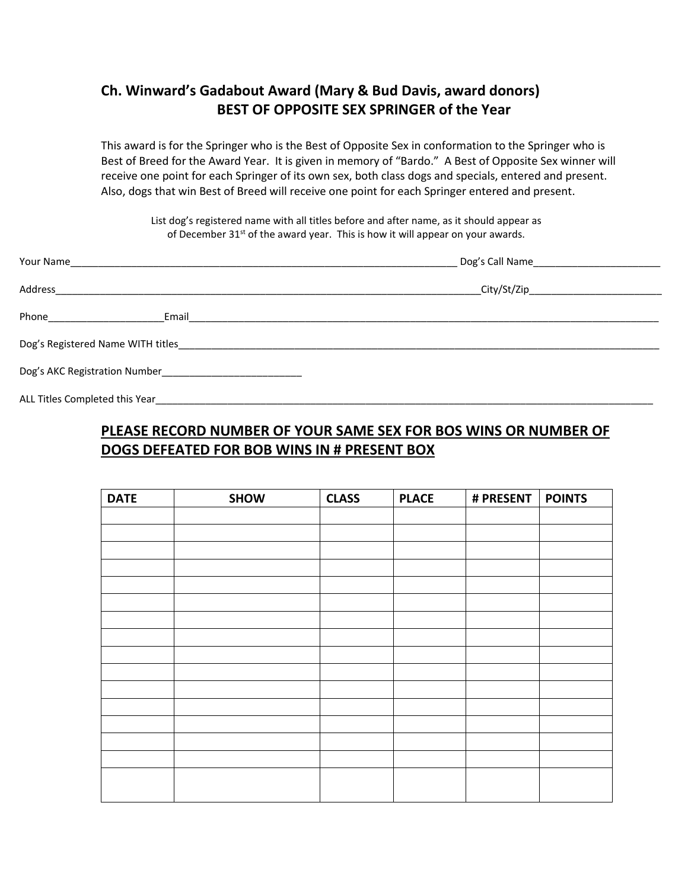## **Ch. Winward's Gadabout Award (Mary & Bud Davis, award donors) BEST OF OPPOSITE SEX SPRINGER of the Year**

This award is for the Springer who is the Best of Opposite Sex in conformation to the Springer who is Best of Breed for the Award Year. It is given in memory of "Bardo." A Best of Opposite Sex winner will receive one point for each Springer of its own sex, both class dogs and specials, entered and present. Also, dogs that win Best of Breed will receive one point for each Springer entered and present.

List dog's registered name with all titles before and after name, as it should appear as of December 31<sup>st</sup> of the award year. This is how it will appear on your awards.

| Your Name                                                                                                                                                                                                                            |                                                                                                                                                                                                                                    |  |
|--------------------------------------------------------------------------------------------------------------------------------------------------------------------------------------------------------------------------------------|------------------------------------------------------------------------------------------------------------------------------------------------------------------------------------------------------------------------------------|--|
| Address                                                                                                                                                                                                                              |                                                                                                                                                                                                                                    |  |
|                                                                                                                                                                                                                                      | <b>Email Exercise Exercise Service Service Service Service Service Service Service Service Service Service Service Service Service Service Service Service Service Service Service Service Service Service Service Service Ser</b> |  |
| Dog's Registered Name WITH titles <b>Server Act and Server Act and Server Act and Server Act and Server Act and Server Act and Server Act and Server Act and Server Act and Server Act and Server Act and Server Act and Server </b> |                                                                                                                                                                                                                                    |  |
|                                                                                                                                                                                                                                      |                                                                                                                                                                                                                                    |  |
| ALL Titles Completed this Year                                                                                                                                                                                                       |                                                                                                                                                                                                                                    |  |

## **PLEASE RECORD NUMBER OF YOUR SAME SEX FOR BOS WINS OR NUMBER OF DOGS DEFEATED FOR BOB WINS IN # PRESENT BOX**

| <b>DATE</b> | <b>SHOW</b> | <b>CLASS</b> | <b>PLACE</b> | # PRESENT | <b>POINTS</b> |
|-------------|-------------|--------------|--------------|-----------|---------------|
|             |             |              |              |           |               |
|             |             |              |              |           |               |
|             |             |              |              |           |               |
|             |             |              |              |           |               |
|             |             |              |              |           |               |
|             |             |              |              |           |               |
|             |             |              |              |           |               |
|             |             |              |              |           |               |
|             |             |              |              |           |               |
|             |             |              |              |           |               |
|             |             |              |              |           |               |
|             |             |              |              |           |               |
|             |             |              |              |           |               |
|             |             |              |              |           |               |
|             |             |              |              |           |               |
|             |             |              |              |           |               |
|             |             |              |              |           |               |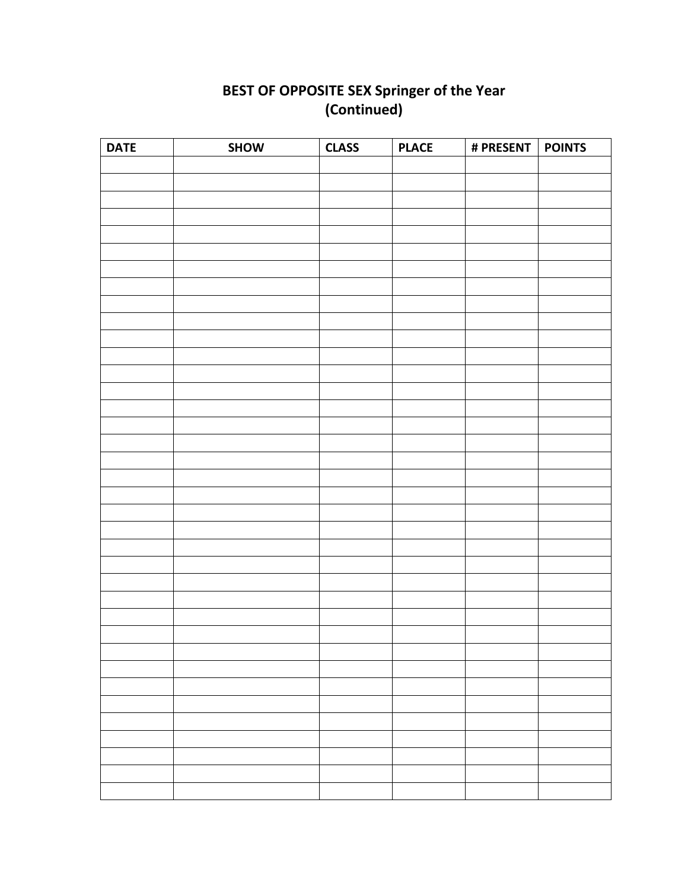## **BEST OF OPPOSITE SEX Springer of the Year (Continued)**

| <b>DATE</b> | SHOW | <b>CLASS</b> | <b>PLACE</b> | # PRESENT   POINTS |  |
|-------------|------|--------------|--------------|--------------------|--|
|             |      |              |              |                    |  |
|             |      |              |              |                    |  |
|             |      |              |              |                    |  |
|             |      |              |              |                    |  |
|             |      |              |              |                    |  |
|             |      |              |              |                    |  |
|             |      |              |              |                    |  |
|             |      |              |              |                    |  |
|             |      |              |              |                    |  |
|             |      |              |              |                    |  |
|             |      |              |              |                    |  |
|             |      |              |              |                    |  |
|             |      |              |              |                    |  |
|             |      |              |              |                    |  |
|             |      |              |              |                    |  |
|             |      |              |              |                    |  |
|             |      |              |              |                    |  |
|             |      |              |              |                    |  |
|             |      |              |              |                    |  |
|             |      |              |              |                    |  |
|             |      |              |              |                    |  |
|             |      |              |              |                    |  |
|             |      |              |              |                    |  |
|             |      |              |              |                    |  |
|             |      |              |              |                    |  |
|             |      |              |              |                    |  |
|             |      |              |              |                    |  |
|             |      |              |              |                    |  |
|             |      |              |              |                    |  |
|             |      |              |              |                    |  |
|             |      |              |              |                    |  |
|             |      |              |              |                    |  |
|             |      |              |              |                    |  |
|             |      |              |              |                    |  |
|             |      |              |              |                    |  |
|             |      |              |              |                    |  |
|             |      |              |              |                    |  |